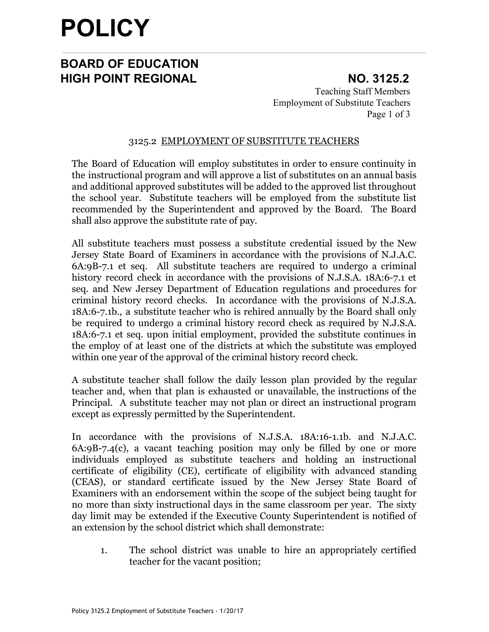# **POLICY**

### **BOARD OF EDUCATION HIGH POINT REGIONAL NO. 3125.2**

Teaching Staff Members Employment of Substitute Teachers Page 1 of 3

### 3125.2 EMPLOYMENT OF SUBSTITUTE TEACHERS

The Board of Education will employ substitutes in order to ensure continuity in the instructional program and will approve a list of substitutes on an annual basis and additional approved substitutes will be added to the approved list throughout the school year. Substitute teachers will be employed from the substitute list recommended by the Superintendent and approved by the Board. The Board shall also approve the substitute rate of pay.

All substitute teachers must possess a substitute credential issued by the New Jersey State Board of Examiners in accordance with the provisions of N.J.A.C. 6A:9B-7.1 et seq. All substitute teachers are required to undergo a criminal history record check in accordance with the provisions of N.J.S.A. 18A:6-7.1 et seq. and New Jersey Department of Education regulations and procedures for criminal history record checks. In accordance with the provisions of N.J.S.A. 18A:6-7.1b., a substitute teacher who is rehired annually by the Board shall only be required to undergo a criminal history record check as required by N.J.S.A. 18A:6-7.1 et seq. upon initial employment, provided the substitute continues in the employ of at least one of the districts at which the substitute was employed within one year of the approval of the criminal history record check.

A substitute teacher shall follow the daily lesson plan provided by the regular teacher and, when that plan is exhausted or unavailable, the instructions of the Principal. A substitute teacher may not plan or direct an instructional program except as expressly permitted by the Superintendent.

In accordance with the provisions of N.J.S.A. 18A:16-1.1b. and N.J.A.C. 6A:9B-7.4(c), a vacant teaching position may only be filled by one or more individuals employed as substitute teachers and holding an instructional certificate of eligibility (CE), certificate of eligibility with advanced standing (CEAS), or standard certificate issued by the New Jersey State Board of Examiners with an endorsement within the scope of the subject being taught for no more than sixty instructional days in the same classroom per year. The sixty day limit may be extended if the Executive County Superintendent is notified of an extension by the school district which shall demonstrate:

1. The school district was unable to hire an appropriately certified teacher for the vacant position;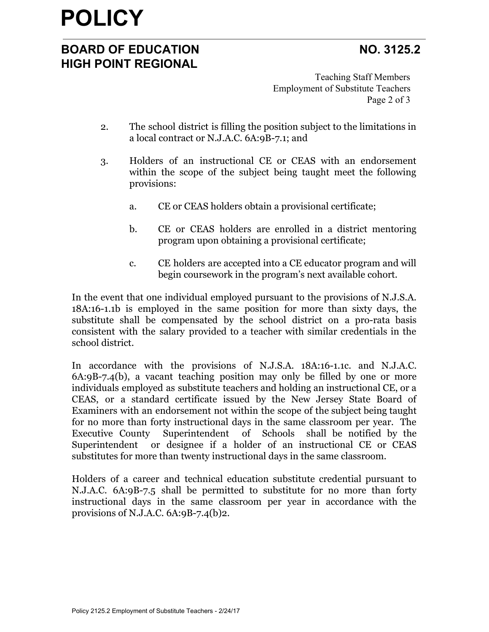## **POLICY**

### **BOARD OF EDUCATION NO. 3125.2 HIGH POINT REGIONAL**

Teaching Staff Members Employment of Substitute Teachers Page 2 of 3

- 2. The school district is filling the position subject to the limitations in a local contract or N.J.A.C. 6A:9B-7.1; and
- 3. Holders of an instructional CE or CEAS with an endorsement within the scope of the subject being taught meet the following provisions:
	- a. CE or CEAS holders obtain a provisional certificate;
	- b. CE or CEAS holders are enrolled in a district mentoring program upon obtaining a provisional certificate;
	- c. CE holders are accepted into a CE educator program and will begin coursework in the program's next available cohort.

In the event that one individual employed pursuant to the provisions of N.J.S.A. 18A:16-1.1b is employed in the same position for more than sixty days, the substitute shall be compensated by the school district on a pro-rata basis consistent with the salary provided to a teacher with similar credentials in the school district.

In accordance with the provisions of N.J.S.A. 18A:16-1.1c. and N.J.A.C. 6A:9B-7.4(b), a vacant teaching position may only be filled by one or more individuals employed as substitute teachers and holding an instructional CE, or a CEAS, or a standard certificate issued by the New Jersey State Board of Examiners with an endorsement not within the scope of the subject being taught for no more than forty instructional days in the same classroom per year. The Executive County Superintendent of Schools shall be notified by the Superintendent or designee if a holder of an instructional CE or CEAS substitutes for more than twenty instructional days in the same classroom.

Holders of a career and technical education substitute credential pursuant to N.J.A.C. 6A:9B-7.5 shall be permitted to substitute for no more than forty instructional days in the same classroom per year in accordance with the provisions of N.J.A.C. 6A:9B-7.4(b)2.